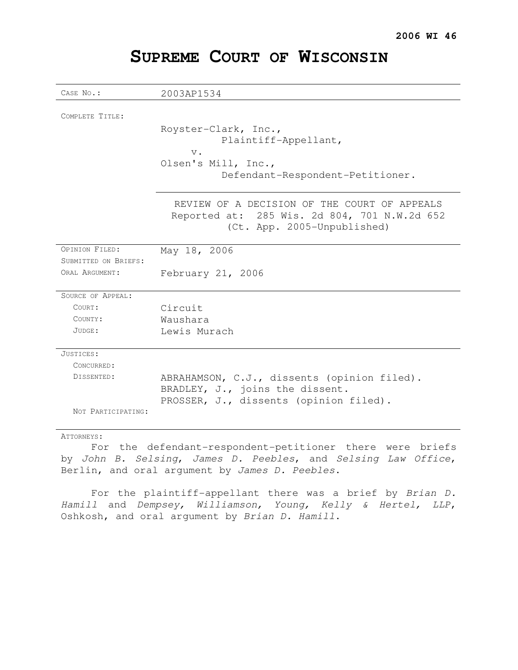| CASE No.:                              | 2003AP1534                                                                                                                  |
|----------------------------------------|-----------------------------------------------------------------------------------------------------------------------------|
| COMPLETE TITLE:                        | Royster-Clark, Inc.,                                                                                                        |
|                                        | Plaintiff-Appellant,<br>$V$ .                                                                                               |
|                                        | Olsen's Mill, Inc.,<br>Defendant-Respondent-Petitioner.                                                                     |
|                                        | REVIEW OF A DECISION OF THE COURT OF APPEALS<br>Reported at: 285 Wis. 2d 804, 701 N.W.2d 652<br>(Ct. App. 2005-Unpublished) |
| OPINION FILED:<br>SUBMITTED ON BRIEFS: | May 18, 2006                                                                                                                |
| ORAI, ARGUMENT:                        | February 21, 2006                                                                                                           |
| SOURCE OF APPEAL:                      |                                                                                                                             |
| COURT:                                 | Circuit                                                                                                                     |
| COUNTY:                                | Waushara                                                                                                                    |
| JUDGE:                                 | Lewis Murach                                                                                                                |
| JUSTICES:                              |                                                                                                                             |
| CONCURRED:                             |                                                                                                                             |
| DISSENTED:                             | ABRAHAMSON, C.J., dissents (opinion filed).                                                                                 |
|                                        | BRADLEY, J., joins the dissent.                                                                                             |
| NOT PARTICIPATING:                     | PROSSER, J., dissents (opinion filed).                                                                                      |

## **SUPREME COURT OF WISCONSIN**

#### ATTORNEYS:

For the defendant-respondent-petitioner there were briefs by John B. Selsing, James D. Peebles, and Selsing Law Office, Berlin, and oral argument by James D. Peebles.

For the plaintiff-appellant there was a brief by Brian D. Hamill and Dempsey, Williamson, Young, Kelly & Hertel, LLP, Oshkosh, and oral argument by Brian D. Hamill.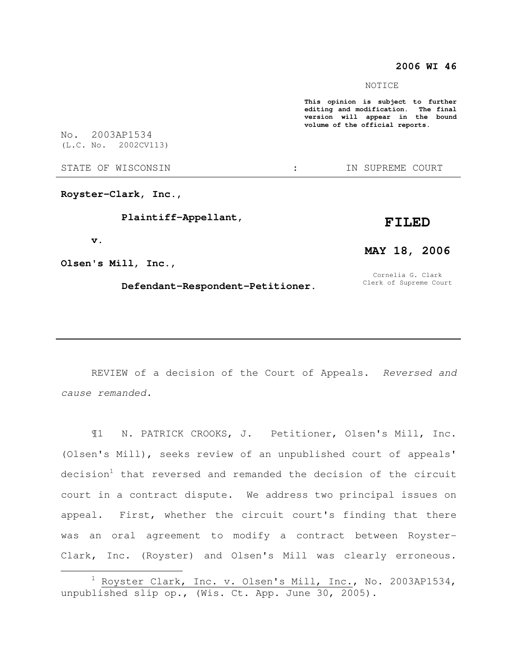#### **2006 WI 46**

#### NOTICE

**This opinion is subject to further editing and modification. The final version will appear in the bound volume of the official reports.**  No. 2003AP1534 (L.C. No. 2002CV113) STATE OF WISCONSIN THE STATE OF WISCONSIN THE STATE OF STATE OF STATE OF STATE OF STATE OF STATE OF STATE OF STATE OF STATE OF STATE OF STATE OF STATE OF STATE OF STATE OF STATE OF STATE OF STATE OF STATE OF STATE OF STATE **Royster-Clark, Inc., Plaintiff-Appellant, FILED** 

 **v.** 

 $\overline{a}$ 

**Olsen's Mill, Inc.,** 

#### **Defendant-Respondent-Petitioner.**

# **MAY 18, 2006**

Cornelia G. Clark Clerk of Supreme Court

REVIEW of a decision of the Court of Appeals. Reversed and cause remanded.

¶1 N. PATRICK CROOKS, J. Petitioner, Olsen's Mill, Inc. (Olsen's Mill), seeks review of an unpublished court of appeals' decision<sup>1</sup> that reversed and remanded the decision of the circuit court in a contract dispute. We address two principal issues on appeal. First, whether the circuit court's finding that there was an oral agreement to modify a contract between Royster-Clark, Inc. (Royster) and Olsen's Mill was clearly erroneous.

 $1$  Royster Clark, Inc. v. Olsen's Mill, Inc., No. 2003AP1534, unpublished slip op., (Wis. Ct. App. June 30, 2005).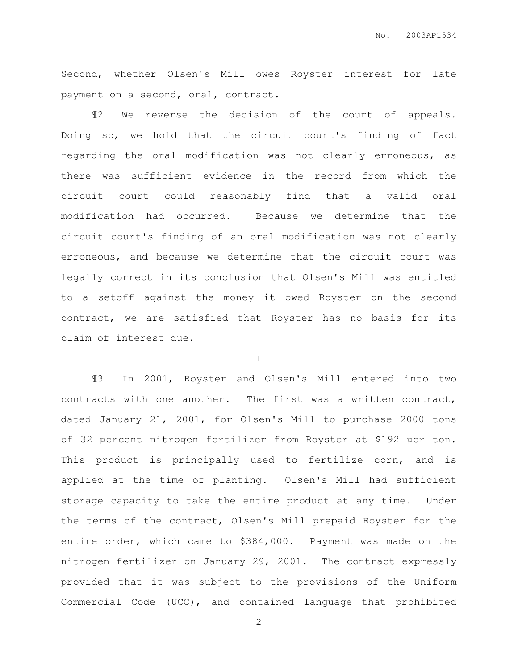Second, whether Olsen's Mill owes Royster interest for late payment on a second, oral, contract.

¶2 We reverse the decision of the court of appeals. Doing so, we hold that the circuit court's finding of fact regarding the oral modification was not clearly erroneous, as there was sufficient evidence in the record from which the circuit court could reasonably find that a valid oral modification had occurred. Because we determine that the circuit court's finding of an oral modification was not clearly erroneous, and because we determine that the circuit court was legally correct in its conclusion that Olsen's Mill was entitled to a setoff against the money it owed Royster on the second contract, we are satisfied that Royster has no basis for its claim of interest due.

I

¶3 In 2001, Royster and Olsen's Mill entered into two contracts with one another. The first was a written contract, dated January 21, 2001, for Olsen's Mill to purchase 2000 tons of 32 percent nitrogen fertilizer from Royster at \$192 per ton. This product is principally used to fertilize corn, and is applied at the time of planting. Olsen's Mill had sufficient storage capacity to take the entire product at any time. Under the terms of the contract, Olsen's Mill prepaid Royster for the entire order, which came to \$384,000. Payment was made on the nitrogen fertilizer on January 29, 2001. The contract expressly provided that it was subject to the provisions of the Uniform Commercial Code (UCC), and contained language that prohibited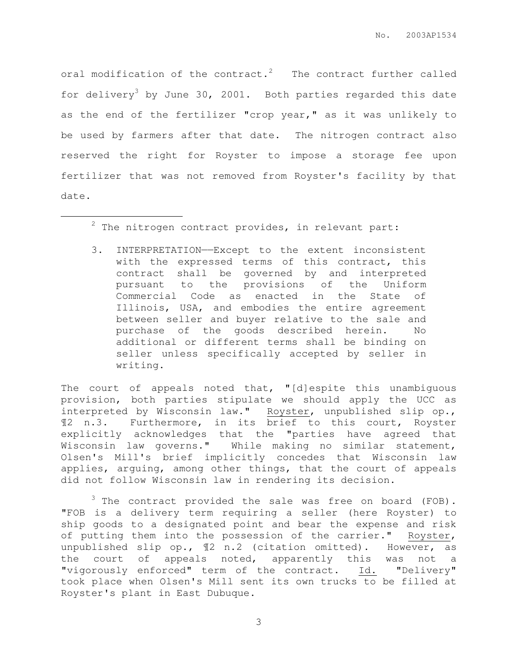oral modification of the contract.<sup>2</sup> The contract further called for delivery<sup>3</sup> by June 30, 2001. Both parties regarded this date as the end of the fertilizer "crop year," as it was unlikely to be used by farmers after that date. The nitrogen contract also reserved the right for Royster to impose a storage fee upon fertilizer that was not removed from Royster's facility by that date.

 $2$  The nitrogen contract provides, in relevant part:

 $\overline{a}$ 

3. INTERPRETATION——Except to the extent inconsistent with the expressed terms of this contract, this contract shall be governed by and interpreted pursuant to the provisions of the Uniform Commercial Code as enacted in the State of Illinois, USA, and embodies the entire agreement between seller and buyer relative to the sale and purchase of the goods described herein. No additional or different terms shall be binding on seller unless specifically accepted by seller in writing.

The court of appeals noted that, "[d]espite this unambiguous provision, both parties stipulate we should apply the UCC as interpreted by Wisconsin law." Royster, unpublished slip op., ¶2 n.3. Furthermore, in its brief to this court, Royster explicitly acknowledges that the "parties have agreed that Wisconsin law governs." While making no similar statement, Olsen's Mill's brief implicitly concedes that Wisconsin law applies, arguing, among other things, that the court of appeals did not follow Wisconsin law in rendering its decision.

 $3$  The contract provided the sale was free on board (FOB). "FOB is a delivery term requiring a seller (here Royster) to ship goods to a designated point and bear the expense and risk of putting them into the possession of the carrier." Royster, unpublished slip op., ¶2 n.2 (citation omitted). However, as the court of appeals noted, apparently this was not a "vigorously enforced" term of the contract. Id. "Delivery" took place when Olsen's Mill sent its own trucks to be filled at Royster's plant in East Dubuque.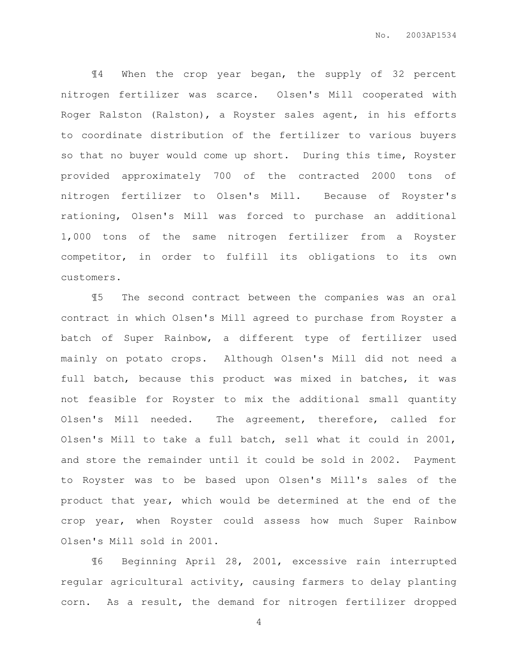¶4 When the crop year began, the supply of 32 percent nitrogen fertilizer was scarce. Olsen's Mill cooperated with Roger Ralston (Ralston), a Royster sales agent, in his efforts to coordinate distribution of the fertilizer to various buyers so that no buyer would come up short. During this time, Royster provided approximately 700 of the contracted 2000 tons of nitrogen fertilizer to Olsen's Mill. Because of Royster's rationing, Olsen's Mill was forced to purchase an additional 1,000 tons of the same nitrogen fertilizer from a Royster competitor, in order to fulfill its obligations to its own customers.

¶5 The second contract between the companies was an oral contract in which Olsen's Mill agreed to purchase from Royster a batch of Super Rainbow, a different type of fertilizer used mainly on potato crops. Although Olsen's Mill did not need a full batch, because this product was mixed in batches, it was not feasible for Royster to mix the additional small quantity Olsen's Mill needed. The agreement, therefore, called for Olsen's Mill to take a full batch, sell what it could in 2001, and store the remainder until it could be sold in 2002. Payment to Royster was to be based upon Olsen's Mill's sales of the product that year, which would be determined at the end of the crop year, when Royster could assess how much Super Rainbow Olsen's Mill sold in 2001.

¶6 Beginning April 28, 2001, excessive rain interrupted regular agricultural activity, causing farmers to delay planting corn. As a result, the demand for nitrogen fertilizer dropped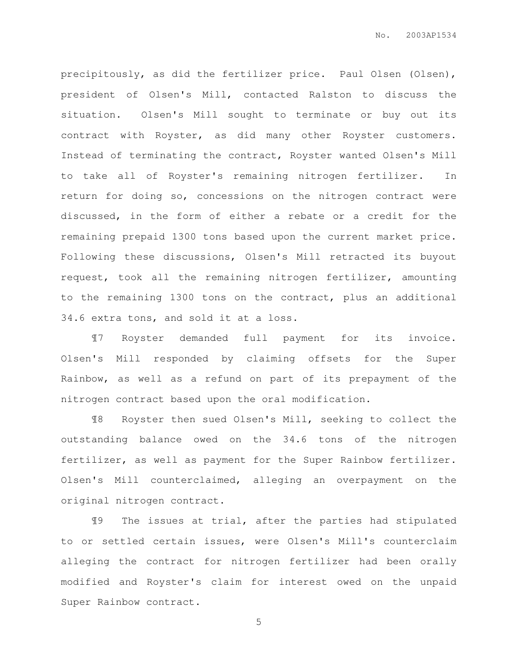precipitously, as did the fertilizer price. Paul Olsen (Olsen), president of Olsen's Mill, contacted Ralston to discuss the situation. Olsen's Mill sought to terminate or buy out its contract with Royster, as did many other Royster customers. Instead of terminating the contract, Royster wanted Olsen's Mill to take all of Royster's remaining nitrogen fertilizer. In return for doing so, concessions on the nitrogen contract were discussed, in the form of either a rebate or a credit for the remaining prepaid 1300 tons based upon the current market price. Following these discussions, Olsen's Mill retracted its buyout request, took all the remaining nitrogen fertilizer, amounting to the remaining 1300 tons on the contract, plus an additional 34.6 extra tons, and sold it at a loss.

¶7 Royster demanded full payment for its invoice. Olsen's Mill responded by claiming offsets for the Super Rainbow, as well as a refund on part of its prepayment of the nitrogen contract based upon the oral modification.

¶8 Royster then sued Olsen's Mill, seeking to collect the outstanding balance owed on the 34.6 tons of the nitrogen fertilizer, as well as payment for the Super Rainbow fertilizer. Olsen's Mill counterclaimed, alleging an overpayment on the original nitrogen contract.

¶9 The issues at trial, after the parties had stipulated to or settled certain issues, were Olsen's Mill's counterclaim alleging the contract for nitrogen fertilizer had been orally modified and Royster's claim for interest owed on the unpaid Super Rainbow contract.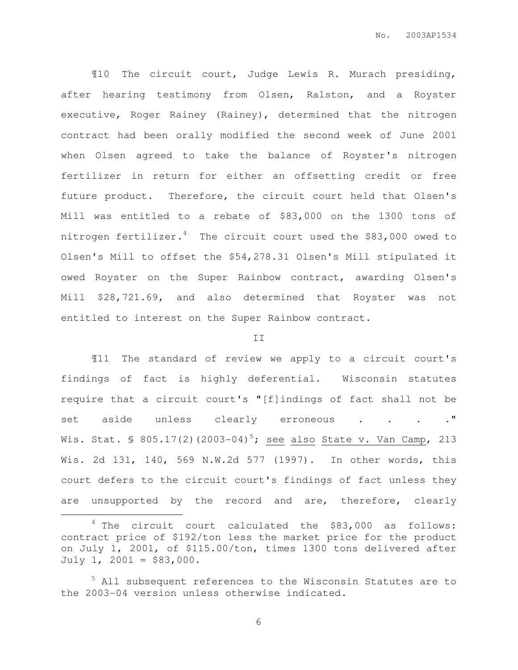¶10 The circuit court, Judge Lewis R. Murach presiding, after hearing testimony from Olsen, Ralston, and a Royster executive, Roger Rainey (Rainey), determined that the nitrogen contract had been orally modified the second week of June 2001 when Olsen agreed to take the balance of Royster's nitrogen fertilizer in return for either an offsetting credit or free future product. Therefore, the circuit court held that Olsen's Mill was entitled to a rebate of \$83,000 on the 1300 tons of nitrogen fertilizer. $4$  The circuit court used the \$83,000 owed to Olsen's Mill to offset the \$54,278.31 Olsen's Mill stipulated it owed Royster on the Super Rainbow contract, awarding Olsen's Mill \$28,721.69, and also determined that Royster was not entitled to interest on the Super Rainbow contract.

#### II

¶11 The standard of review we apply to a circuit court's findings of fact is highly deferential. Wisconsin statutes require that a circuit court's "[f]indings of fact shall not be set aside unless clearly erroneous . . . . . " Wis. Stat. § 805.17(2)(2003-04)<sup>5</sup>; <u>see also State v. Van Camp</u>, 213 Wis. 2d 131, 140, 569 N.W.2d 577 (1997). In other words, this court defers to the circuit court's findings of fact unless they are unsupported by the record and are, therefore, clearly

 $\overline{a}$ 

 $4$  The circuit court calculated the \$83,000 as follows: contract price of \$192/ton less the market price for the product on July 1, 2001, of \$115.00/ton, times 1300 tons delivered after  $July 1, 2001 = $83,000.$ 

<sup>&</sup>lt;sup>5</sup> All subsequent references to the Wisconsin Statutes are to the 2003-04 version unless otherwise indicated.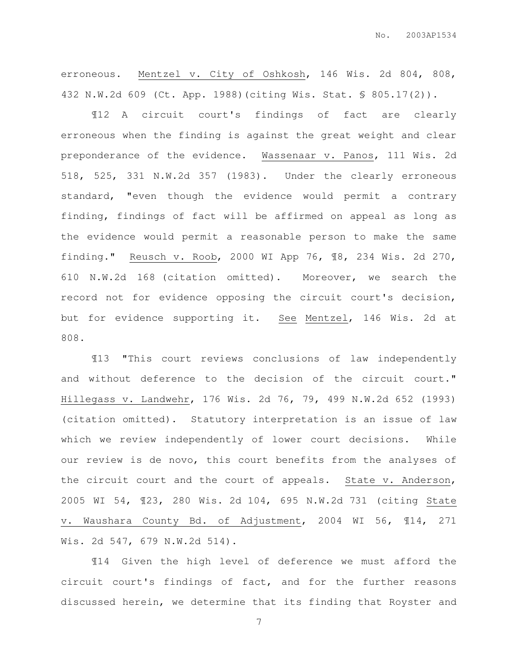erroneous. Mentzel v. City of Oshkosh, 146 Wis. 2d 804, 808, 432 N.W.2d 609 (Ct. App. 1988)(citing Wis. Stat. § 805.17(2)).

¶12 A circuit court's findings of fact are clearly erroneous when the finding is against the great weight and clear preponderance of the evidence. Wassenaar v. Panos, 111 Wis. 2d 518, 525, 331 N.W.2d 357 (1983). Under the clearly erroneous standard, "even though the evidence would permit a contrary finding, findings of fact will be affirmed on appeal as long as the evidence would permit a reasonable person to make the same finding." Reusch v. Roob, 2000 WI App 76, ¶8, 234 Wis. 2d 270, 610 N.W.2d 168 (citation omitted). Moreover, we search the record not for evidence opposing the circuit court's decision, but for evidence supporting it. See Mentzel, 146 Wis. 2d at 808.

¶13 "This court reviews conclusions of law independently and without deference to the decision of the circuit court." Hillegass v. Landwehr, 176 Wis. 2d 76, 79, 499 N.W.2d 652 (1993) (citation omitted). Statutory interpretation is an issue of law which we review independently of lower court decisions. While our review is de novo, this court benefits from the analyses of the circuit court and the court of appeals. State v. Anderson, 2005 WI 54, ¶23, 280 Wis. 2d 104, 695 N.W.2d 731 (citing State v. Waushara County Bd. of Adjustment, 2004 WI 56, ¶14, 271 Wis. 2d 547, 679 N.W.2d 514).

¶14 Given the high level of deference we must afford the circuit court's findings of fact, and for the further reasons discussed herein, we determine that its finding that Royster and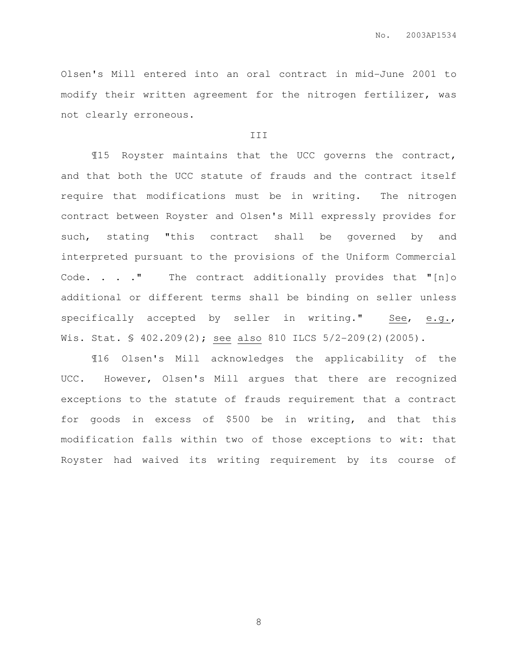Olsen's Mill entered into an oral contract in mid-June 2001 to modify their written agreement for the nitrogen fertilizer, was not clearly erroneous.

#### III

¶15 Royster maintains that the UCC governs the contract, and that both the UCC statute of frauds and the contract itself require that modifications must be in writing. The nitrogen contract between Royster and Olsen's Mill expressly provides for such, stating "this contract shall be governed by and interpreted pursuant to the provisions of the Uniform Commercial Code. . . . " The contract additionally provides that "[n]o additional or different terms shall be binding on seller unless specifically accepted by seller in writing." See, e.g., Wis. Stat. § 402.209(2); see also 810 ILCS 5/2-209(2)(2005).

¶16 Olsen's Mill acknowledges the applicability of the UCC. However, Olsen's Mill argues that there are recognized exceptions to the statute of frauds requirement that a contract for goods in excess of \$500 be in writing, and that this modification falls within two of those exceptions to wit: that Royster had waived its writing requirement by its course of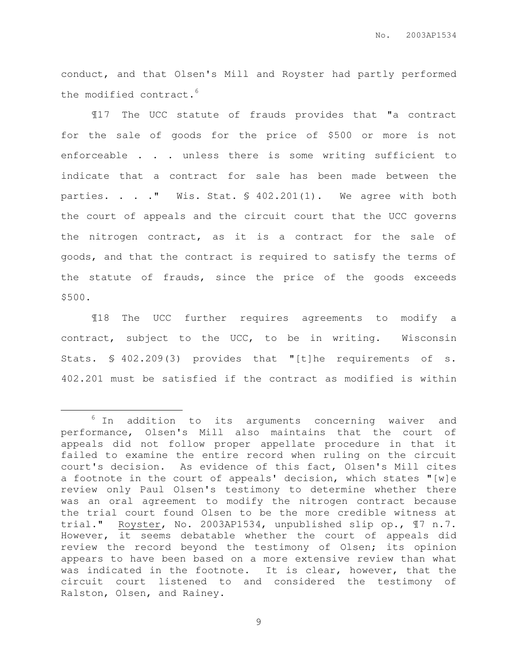conduct, and that Olsen's Mill and Royster had partly performed the modified contract.<sup>6</sup>

¶17 The UCC statute of frauds provides that "a contract for the sale of goods for the price of \$500 or more is not enforceable . . . unless there is some writing sufficient to indicate that a contract for sale has been made between the parties. . . . " Wis. Stat. § 402.201(1). We agree with both the court of appeals and the circuit court that the UCC governs the nitrogen contract, as it is a contract for the sale of goods, and that the contract is required to satisfy the terms of the statute of frauds, since the price of the goods exceeds \$500.

¶18 The UCC further requires agreements to modify a contract, subject to the UCC, to be in writing. Wisconsin Stats. § 402.209(3) provides that "[t]he requirements of s. 402.201 must be satisfied if the contract as modified is within

 $\overline{a}$ 

 $6$  In addition to its arguments concerning waiver and performance, Olsen's Mill also maintains that the court of appeals did not follow proper appellate procedure in that it failed to examine the entire record when ruling on the circuit court's decision. As evidence of this fact, Olsen's Mill cites a footnote in the court of appeals' decision, which states "[w]e review only Paul Olsen's testimony to determine whether there was an oral agreement to modify the nitrogen contract because the trial court found Olsen to be the more credible witness at trial." Royster, No. 2003AP1534, unpublished slip op., ¶7 n.7. However, it seems debatable whether the court of appeals did review the record beyond the testimony of Olsen; its opinion appears to have been based on a more extensive review than what was indicated in the footnote. It is clear, however, that the circuit court listened to and considered the testimony of Ralston, Olsen, and Rainey.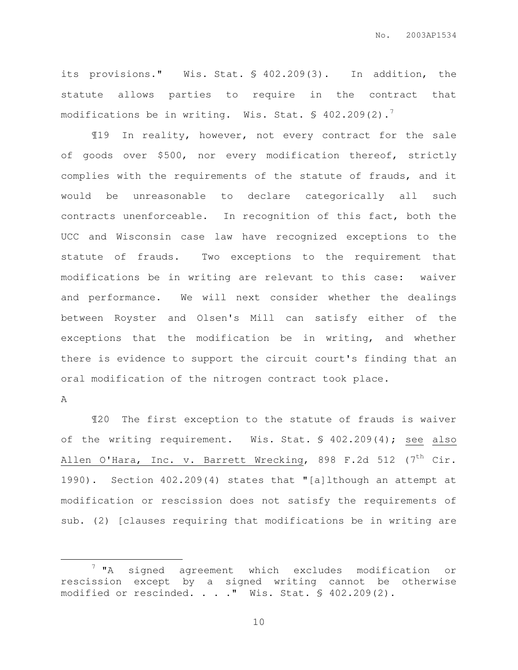its provisions." Wis. Stat. § 402.209(3). In addition, the statute allows parties to require in the contract that modifications be in writing. Wis. Stat.  $\frac{1}{5}$  402.209(2).

¶19 In reality, however, not every contract for the sale of goods over \$500, nor every modification thereof, strictly complies with the requirements of the statute of frauds, and it would be unreasonable to declare categorically all such contracts unenforceable. In recognition of this fact, both the UCC and Wisconsin case law have recognized exceptions to the statute of frauds. Two exceptions to the requirement that modifications be in writing are relevant to this case: waiver and performance. We will next consider whether the dealings between Royster and Olsen's Mill can satisfy either of the exceptions that the modification be in writing, and whether there is evidence to support the circuit court's finding that an oral modification of the nitrogen contract took place.

A

 $\overline{a}$ 

¶20 The first exception to the statute of frauds is waiver of the writing requirement. Wis. Stat. § 402.209(4); see also Allen O'Hara, Inc. v. Barrett Wrecking, 898 F.2d 512 (7<sup>th</sup> Cir. 1990). Section 402.209(4) states that "[a]lthough an attempt at modification or rescission does not satisfy the requirements of sub. (2) [clauses requiring that modifications be in writing are

<sup>7</sup> "A signed agreement which excludes modification or rescission except by a signed writing cannot be otherwise modified or rescinded. . . ." Wis. Stat. § 402.209(2).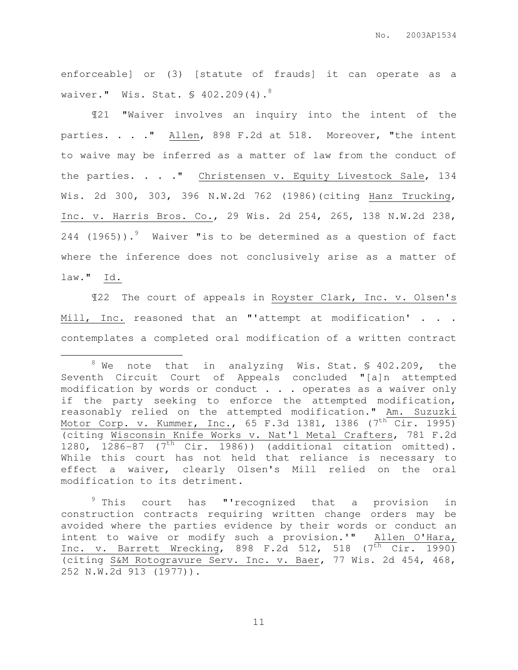enforceable] or (3) [statute of frauds] it can operate as a waiver." Wis. Stat. § 402.209(4).<sup>8</sup>

¶21 "Waiver involves an inquiry into the intent of the parties. . . . " Allen, 898 F.2d at 518. Moreover, "the intent to waive may be inferred as a matter of law from the conduct of the parties. . . . " Christensen v. Equity Livestock Sale, 134 Wis. 2d 300, 303, 396 N.W.2d 762 (1986)(citing Hanz Trucking, Inc. v. Harris Bros. Co., 29 Wis. 2d 254, 265, 138 N.W.2d 238, 244 (1965)).<sup>9</sup> Waiver "is to be determined as a question of fact where the inference does not conclusively arise as a matter of law." Id.

¶22 The court of appeals in Royster Clark, Inc. v. Olsen's Mill, Inc. reasoned that an "'attempt at modification' . . . contemplates a completed oral modification of a written contract

 $\overline{a}$ 

 $8$  We note that in analyzing Wis. Stat. \$ 402.209, the Seventh Circuit Court of Appeals concluded "[a]n attempted modification by words or conduct . . . operates as a waiver only if the party seeking to enforce the attempted modification, reasonably relied on the attempted modification." Am. Suzuzki Motor Corp. v. Kummer, Inc., 65 F.3d 1381, 1386 (7<sup>th</sup> Cir. 1995) (citing Wisconsin Knife Works v. Nat'l Metal Crafters, 781 F.2d 1280, 1286-87 ( $7<sup>th</sup>$  Cir. 1986)) (additional citation omitted). While this court has not held that reliance is necessary to effect a waiver, clearly Olsen's Mill relied on the oral modification to its detriment.

<sup>&</sup>lt;sup>9</sup> This court has "'recognized that a provision in construction contracts requiring written change orders may be avoided where the parties evidence by their words or conduct an intent to waive or modify such a provision.'" Allen O'Hara, Inc. v. Barrett Wrecking, 898 F.2d 512, 518  $(7<sup>th</sup>$  Cir. 1990) (citing S&M Rotogravure Serv. Inc. v. Baer, 77 Wis. 2d 454, 468, 252 N.W.2d 913 (1977)).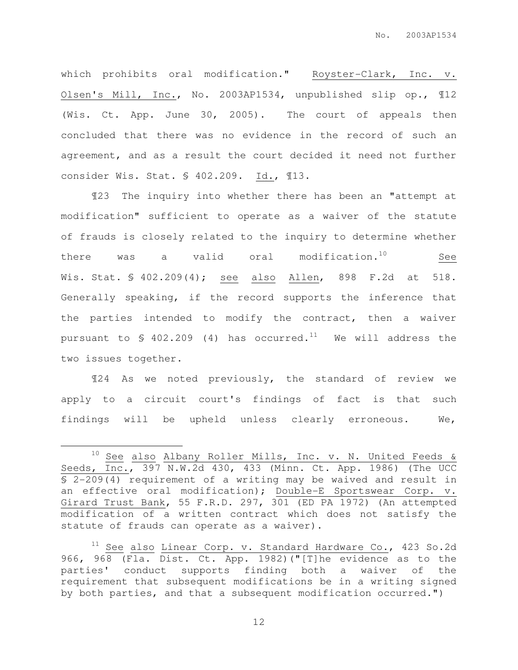which prohibits oral modification." Royster-Clark, Inc. v. Olsen's Mill, Inc., No. 2003AP1534, unpublished slip op., ¶12 (Wis. Ct. App. June 30, 2005). The court of appeals then concluded that there was no evidence in the record of such an agreement, and as a result the court decided it need not further consider Wis. Stat. § 402.209. Id., ¶13.

¶23 The inquiry into whether there has been an "attempt at modification" sufficient to operate as a waiver of the statute of frauds is closely related to the inquiry to determine whether there was a valid oral modification. $10$  See Wis. Stat. § 402.209(4); see also Allen, 898 F.2d at 518. Generally speaking, if the record supports the inference that the parties intended to modify the contract, then a waiver pursuant to  $\frac{1}{2}$  402.209 (4) has occurred.<sup>11</sup> We will address the two issues together.

¶24 As we noted previously, the standard of review we apply to a circuit court's findings of fact is that such findings will be upheld unless clearly erroneous. We,

 $\overline{a}$ 

 $10$  See also Albany Roller Mills, Inc. v. N. United Feeds & Seeds, Inc., 397 N.W.2d 430, 433 (Minn. Ct. App. 1986) (The UCC § 2-209(4) requirement of a writing may be waived and result in an effective oral modification); Double-E Sportswear Corp. v. Girard Trust Bank, 55 F.R.D. 297, 301 (ED PA 1972) (An attempted modification of a written contract which does not satisfy the statute of frauds can operate as a waiver).

 $11$  See also Linear Corp. v. Standard Hardware Co., 423 So.2d 966, 968 (Fla. Dist. Ct. App. 1982)("[T]he evidence as to the parties' conduct supports finding both a waiver of the requirement that subsequent modifications be in a writing signed by both parties, and that a subsequent modification occurred.")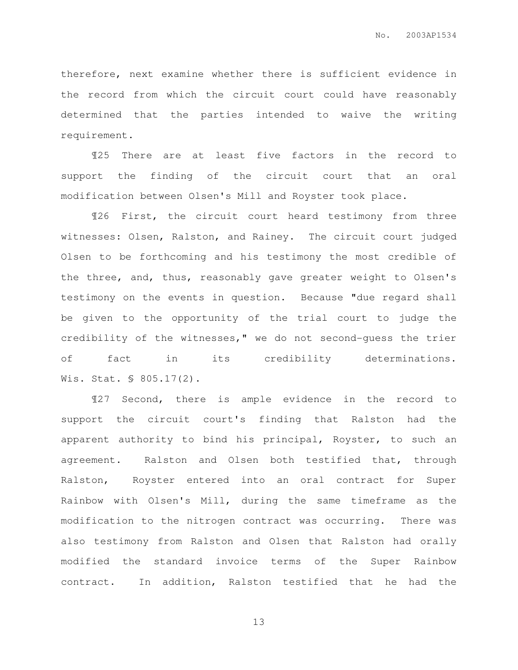therefore, next examine whether there is sufficient evidence in the record from which the circuit court could have reasonably determined that the parties intended to waive the writing requirement.

¶25 There are at least five factors in the record to support the finding of the circuit court that an oral modification between Olsen's Mill and Royster took place.

¶26 First, the circuit court heard testimony from three witnesses: Olsen, Ralston, and Rainey. The circuit court judged Olsen to be forthcoming and his testimony the most credible of the three, and, thus, reasonably gave greater weight to Olsen's testimony on the events in question. Because "due regard shall be given to the opportunity of the trial court to judge the credibility of the witnesses," we do not second-guess the trier of fact in its credibility determinations. Wis. Stat. § 805.17(2).

¶27 Second, there is ample evidence in the record to support the circuit court's finding that Ralston had the apparent authority to bind his principal, Royster, to such an agreement. Ralston and Olsen both testified that, through Ralston, Royster entered into an oral contract for Super Rainbow with Olsen's Mill, during the same timeframe as the modification to the nitrogen contract was occurring. There was also testimony from Ralston and Olsen that Ralston had orally modified the standard invoice terms of the Super Rainbow contract. In addition, Ralston testified that he had the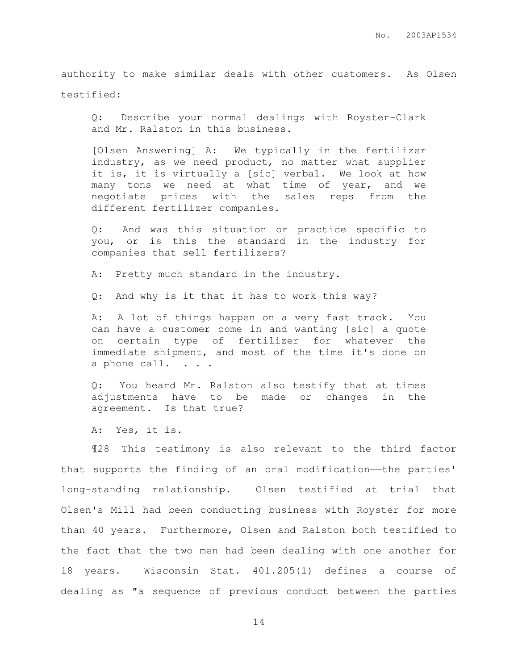authority to make similar deals with other customers. As Olsen testified:

Q: Describe your normal dealings with Royster-Clark and Mr. Ralston in this business.

[Olsen Answering] A: We typically in the fertilizer industry, as we need product, no matter what supplier it is, it is virtually a [sic] verbal. We look at how many tons we need at what time of year, and we negotiate prices with the sales reps from the different fertilizer companies.

Q: And was this situation or practice specific to you, or is this the standard in the industry for companies that sell fertilizers?

A: Pretty much standard in the industry.

Q: And why is it that it has to work this way?

A: A lot of things happen on a very fast track. You can have a customer come in and wanting [sic] a quote on certain type of fertilizer for whatever the immediate shipment, and most of the time it's done on a phone call.  $\cdot \cdot \cdot$ 

Q: You heard Mr. Ralston also testify that at times adjustments have to be made or changes in the agreement. Is that true?

A: Yes, it is.

¶28 This testimony is also relevant to the third factor that supports the finding of an oral modification—the parties' long-standing relationship. Olsen testified at trial that Olsen's Mill had been conducting business with Royster for more than 40 years. Furthermore, Olsen and Ralston both testified to the fact that the two men had been dealing with one another for 18 years. Wisconsin Stat. 401.205(1) defines a course of dealing as "a sequence of previous conduct between the parties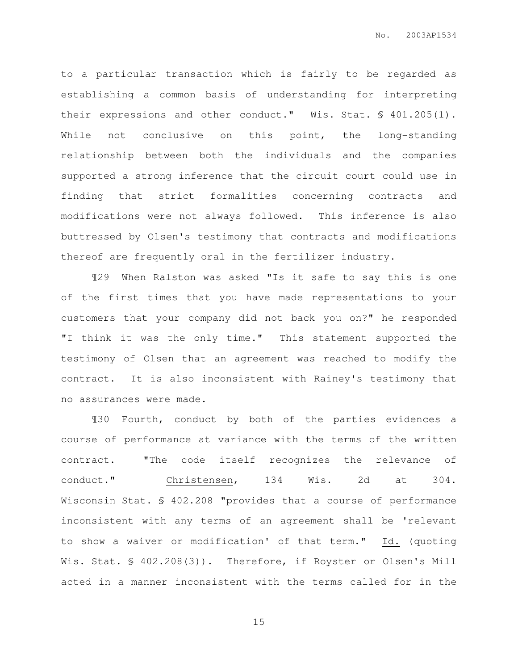to a particular transaction which is fairly to be regarded as establishing a common basis of understanding for interpreting their expressions and other conduct." Wis. Stat. § 401.205(1). While not conclusive on this point, the long-standing relationship between both the individuals and the companies supported a strong inference that the circuit court could use in finding that strict formalities concerning contracts and modifications were not always followed. This inference is also buttressed by Olsen's testimony that contracts and modifications thereof are frequently oral in the fertilizer industry.

¶29 When Ralston was asked "Is it safe to say this is one of the first times that you have made representations to your customers that your company did not back you on?" he responded "I think it was the only time." This statement supported the testimony of Olsen that an agreement was reached to modify the contract. It is also inconsistent with Rainey's testimony that no assurances were made.

¶30 Fourth, conduct by both of the parties evidences a course of performance at variance with the terms of the written contract. "The code itself recognizes the relevance of conduct." Christensen, 134 Wis. 2d at 304. Wisconsin Stat. § 402.208 "provides that a course of performance inconsistent with any terms of an agreement shall be 'relevant to show a waiver or modification' of that term." Id. (quoting Wis. Stat. § 402.208(3)). Therefore, if Royster or Olsen's Mill acted in a manner inconsistent with the terms called for in the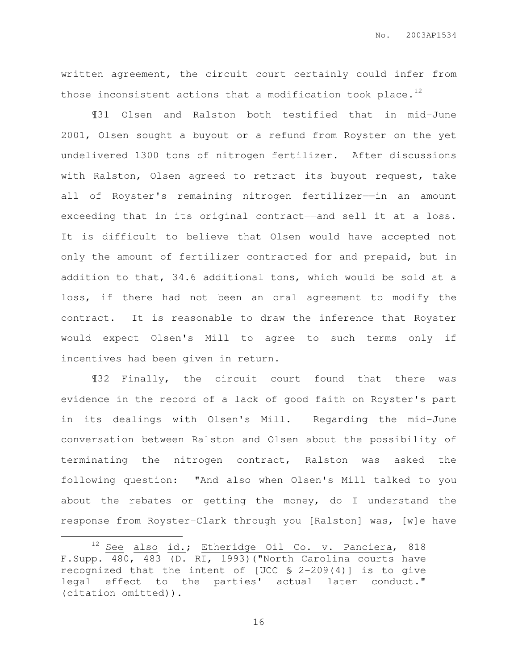written agreement, the circuit court certainly could infer from those inconsistent actions that a modification took place.<sup>12</sup>

¶31 Olsen and Ralston both testified that in mid-June 2001, Olsen sought a buyout or a refund from Royster on the yet undelivered 1300 tons of nitrogen fertilizer. After discussions with Ralston, Olsen agreed to retract its buyout request, take all of Royster's remaining nitrogen fertilizer--in an amount exceeding that in its original contract——and sell it at a loss. It is difficult to believe that Olsen would have accepted not only the amount of fertilizer contracted for and prepaid, but in addition to that, 34.6 additional tons, which would be sold at a loss, if there had not been an oral agreement to modify the contract. It is reasonable to draw the inference that Royster would expect Olsen's Mill to agree to such terms only if incentives had been given in return.

¶32 Finally, the circuit court found that there was evidence in the record of a lack of good faith on Royster's part in its dealings with Olsen's Mill. Regarding the mid-June conversation between Ralston and Olsen about the possibility of terminating the nitrogen contract, Ralston was asked the following question: "And also when Olsen's Mill talked to you about the rebates or getting the money, do I understand the response from Royster-Clark through you [Ralston] was, [w]e have

 $\overline{a}$ 

<sup>&</sup>lt;sup>12</sup> See also id.; Etheridge Oil Co. v. Panciera, 818 F.Supp. 480, 483 (D. RI, 1993)("North Carolina courts have recognized that the intent of [UCC § 2-209(4)] is to give legal effect to the parties' actual later conduct." (citation omitted)).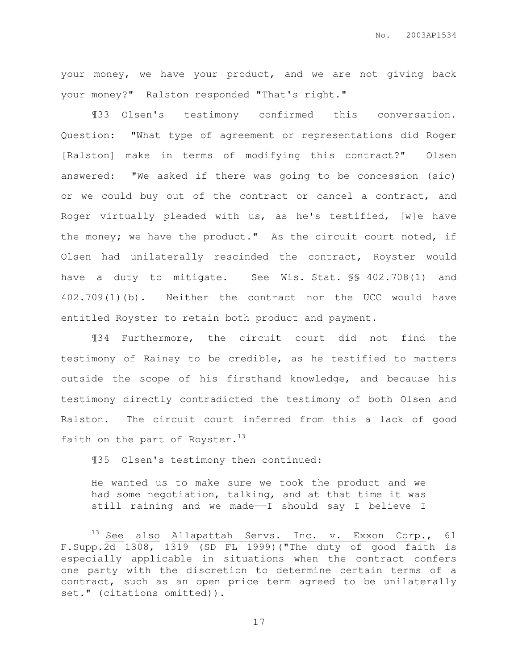your money, we have your product, and we are not giving back your money?" Ralston responded "That's right."

¶33 Olsen's testimony confirmed this conversation. Question: "What type of agreement or representations did Roger [Ralston] make in terms of modifying this contract?" Olsen answered: "We asked if there was going to be concession (sic) or we could buy out of the contract or cancel a contract, and Roger virtually pleaded with us, as he's testified, [w]e have the money; we have the product." As the circuit court noted, if Olsen had unilaterally rescinded the contract, Royster would have a duty to mitigate. See Wis. Stat. SS 402.708(1) and 402.709(1)(b). Neither the contract nor the UCC would have entitled Royster to retain both product and payment.

¶34 Furthermore, the circuit court did not find the testimony of Rainey to be credible, as he testified to matters outside the scope of his firsthand knowledge, and because his testimony directly contradicted the testimony of both Olsen and Ralston. The circuit court inferred from this a lack of good faith on the part of Royster. $^{13}$ 

¶35 Olsen's testimony then continued:

 $\overline{a}$ 

He wanted us to make sure we took the product and we had some negotiation, talking, and at that time it was still raining and we made——I should say I believe I

<sup>&</sup>lt;sup>13</sup> See also Allapattah Servs. Inc. v. Exxon Corp., 61 F. Supp.  $2d$  1308, 1319 (SD FL 1999) ("The duty of good faith is especially applicable in situations when the contract confers one party with the discretion to determine certain terms of a contract, such as an open price term agreed to be unilaterally set." (citations omitted)).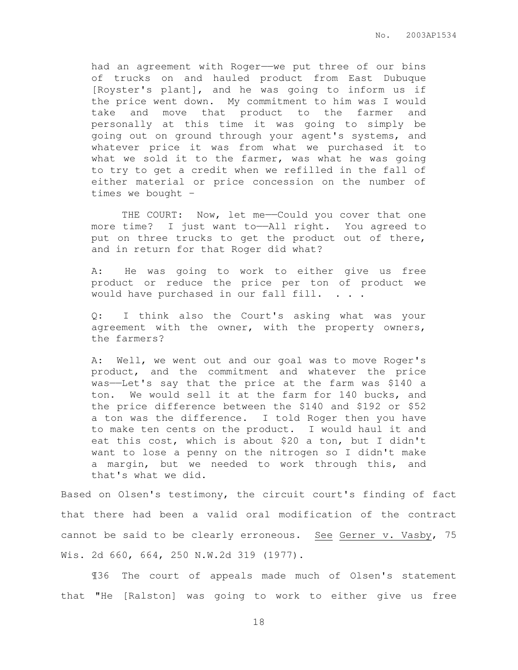had an agreement with Roger—we put three of our bins of trucks on and hauled product from East Dubuque [Royster's plant], and he was going to inform us if the price went down. My commitment to him was I would take and move that product to the farmer and personally at this time it was going to simply be going out on ground through your agent's systems, and whatever price it was from what we purchased it to what we sold it to the farmer, was what he was going to try to get a credit when we refilled in the fall of either material or price concession on the number of times we bought –

THE COURT: Now, let me--Could you cover that one more time? I just want to——All right. You agreed to put on three trucks to get the product out of there, and in return for that Roger did what?

A: He was going to work to either give us free product or reduce the price per ton of product we would have purchased in our fall fill. . . .

Q: I think also the Court's asking what was your agreement with the owner, with the property owners, the farmers?

A: Well, we went out and our goal was to move Roger's product, and the commitment and whatever the price was——Let's say that the price at the farm was \$140 a ton. We would sell it at the farm for 140 bucks, and the price difference between the \$140 and \$192 or \$52 a ton was the difference. I told Roger then you have to make ten cents on the product. I would haul it and eat this cost, which is about \$20 a ton, but I didn't want to lose a penny on the nitrogen so I didn't make a margin, but we needed to work through this, and that's what we did.

Based on Olsen's testimony, the circuit court's finding of fact that there had been a valid oral modification of the contract cannot be said to be clearly erroneous. See Gerner v. Vasby, 75 Wis. 2d 660, 664, 250 N.W.2d 319 (1977).

¶36 The court of appeals made much of Olsen's statement that "He [Ralston] was going to work to either give us free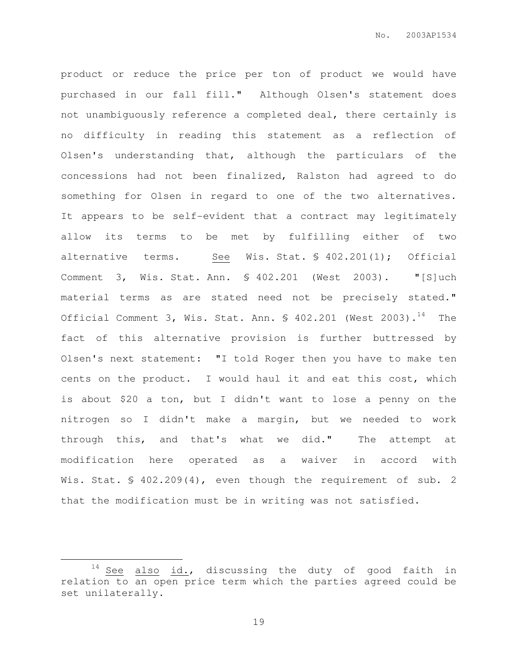product or reduce the price per ton of product we would have purchased in our fall fill." Although Olsen's statement does not unambiguously reference a completed deal, there certainly is no difficulty in reading this statement as a reflection of Olsen's understanding that, although the particulars of the concessions had not been finalized, Ralston had agreed to do something for Olsen in regard to one of the two alternatives. It appears to be self-evident that a contract may legitimately allow its terms to be met by fulfilling either of two alternative terms. See Wis. Stat. § 402.201(1); Official Comment 3, Wis. Stat. Ann. § 402.201 (West 2003). "[S]uch material terms as are stated need not be precisely stated." Official Comment 3, Wis. Stat. Ann.  $\frac{1}{2}$  402.201 (West 2003).<sup>14</sup> The fact of this alternative provision is further buttressed by Olsen's next statement: "I told Roger then you have to make ten cents on the product. I would haul it and eat this cost, which is about \$20 a ton, but I didn't want to lose a penny on the nitrogen so I didn't make a margin, but we needed to work through this, and that's what we did." The attempt at modification here operated as a waiver in accord with Wis. Stat. § 402.209(4), even though the requirement of sub. 2 that the modification must be in writing was not satisfied.

 $\overline{a}$ 

 $14$  See also id., discussing the duty of good faith in relation to an open price term which the parties agreed could be set unilaterally.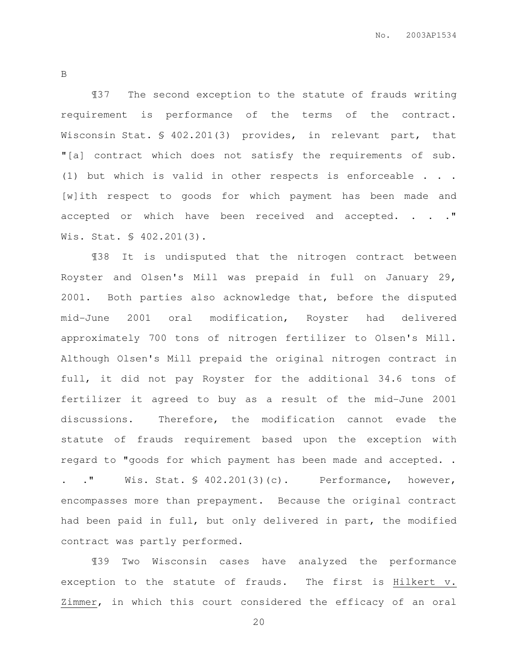B

¶37 The second exception to the statute of frauds writing requirement is performance of the terms of the contract. Wisconsin Stat. § 402.201(3) provides, in relevant part, that "[a] contract which does not satisfy the requirements of sub. (1) but which is valid in other respects is enforceable . . . [w]ith respect to goods for which payment has been made and accepted or which have been received and accepted. . . . " Wis. Stat. § 402.201(3).

¶38 It is undisputed that the nitrogen contract between Royster and Olsen's Mill was prepaid in full on January 29, 2001. Both parties also acknowledge that, before the disputed mid-June 2001 oral modification, Royster had delivered approximately 700 tons of nitrogen fertilizer to Olsen's Mill. Although Olsen's Mill prepaid the original nitrogen contract in full, it did not pay Royster for the additional 34.6 tons of fertilizer it agreed to buy as a result of the mid-June 2001 discussions. Therefore, the modification cannot evade the statute of frauds requirement based upon the exception with regard to "goods for which payment has been made and accepted. .

. ." Wis. Stat. § 402.201(3)(c). Performance, however, encompasses more than prepayment. Because the original contract had been paid in full, but only delivered in part, the modified contract was partly performed.

¶39 Two Wisconsin cases have analyzed the performance exception to the statute of frauds. The first is Hilkert v. Zimmer, in which this court considered the efficacy of an oral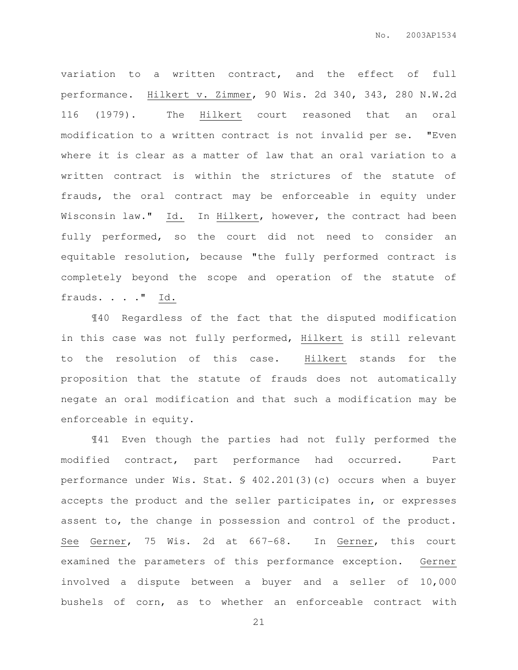variation to a written contract, and the effect of full performance. Hilkert v. Zimmer, 90 Wis. 2d 340, 343, 280 N.W.2d 116 (1979). The Hilkert court reasoned that an oral modification to a written contract is not invalid per se. "Even where it is clear as a matter of law that an oral variation to a written contract is within the strictures of the statute of frauds, the oral contract may be enforceable in equity under Wisconsin law." Id. In Hilkert, however, the contract had been fully performed, so the court did not need to consider an equitable resolution, because "the fully performed contract is completely beyond the scope and operation of the statute of frauds. . . . " Id.

¶40 Regardless of the fact that the disputed modification in this case was not fully performed, Hilkert is still relevant to the resolution of this case. Hilkert stands for the proposition that the statute of frauds does not automatically negate an oral modification and that such a modification may be enforceable in equity.

¶41 Even though the parties had not fully performed the modified contract, part performance had occurred. Part performance under Wis. Stat. § 402.201(3)(c) occurs when a buyer accepts the product and the seller participates in, or expresses assent to, the change in possession and control of the product. See Gerner, 75 Wis. 2d at 667-68. In Gerner, this court examined the parameters of this performance exception. Gerner involved a dispute between a buyer and a seller of 10,000 bushels of corn, as to whether an enforceable contract with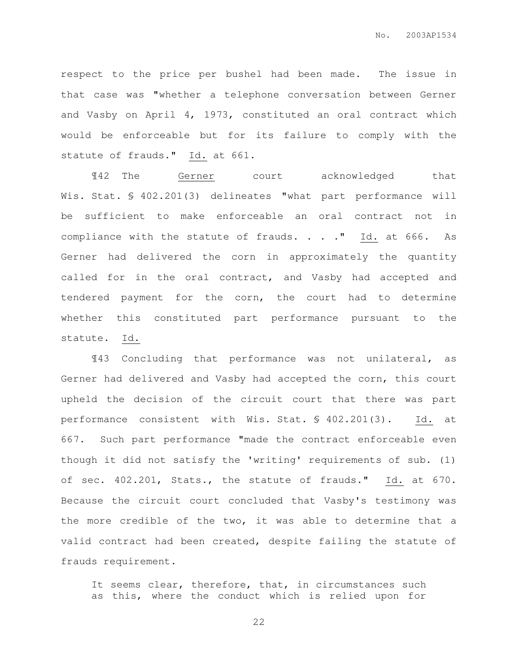respect to the price per bushel had been made. The issue in that case was "whether a telephone conversation between Gerner and Vasby on April 4, 1973, constituted an oral contract which would be enforceable but for its failure to comply with the statute of frauds." Id. at 661.

¶42 The Gerner court acknowledged that Wis. Stat. § 402.201(3) delineates "what part performance will be sufficient to make enforceable an oral contract not in compliance with the statute of frauds. . . . " Id. at 666. As Gerner had delivered the corn in approximately the quantity called for in the oral contract, and Vasby had accepted and tendered payment for the corn, the court had to determine whether this constituted part performance pursuant to the statute. Id.

¶43 Concluding that performance was not unilateral, as Gerner had delivered and Vasby had accepted the corn, this court upheld the decision of the circuit court that there was part performance consistent with Wis. Stat. § 402.201(3). Id. at 667. Such part performance "made the contract enforceable even though it did not satisfy the 'writing' requirements of sub. (1) of sec. 402.201, Stats., the statute of frauds." Id. at 670. Because the circuit court concluded that Vasby's testimony was the more credible of the two, it was able to determine that a valid contract had been created, despite failing the statute of frauds requirement.

It seems clear, therefore, that, in circumstances such as this, where the conduct which is relied upon for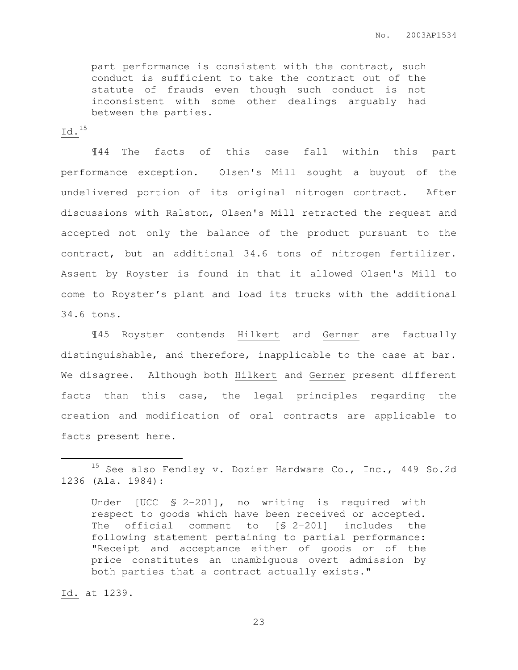part performance is consistent with the contract, such conduct is sufficient to take the contract out of the statute of frauds even though such conduct is not inconsistent with some other dealings arguably had between the parties.

### Id.<sup>15</sup>

¶44 The facts of this case fall within this part performance exception. Olsen's Mill sought a buyout of the undelivered portion of its original nitrogen contract. After discussions with Ralston, Olsen's Mill retracted the request and accepted not only the balance of the product pursuant to the contract, but an additional 34.6 tons of nitrogen fertilizer. Assent by Royster is found in that it allowed Olsen's Mill to come to Royster's plant and load its trucks with the additional 34.6 tons.

¶45 Royster contends Hilkert and Gerner are factually distinguishable, and therefore, inapplicable to the case at bar. We disagree. Although both Hilkert and Gerner present different facts than this case, the legal principles regarding the creation and modification of oral contracts are applicable to facts present here.

Under [UCC § 2-201], no writing is required with respect to goods which have been received or accepted. The official comment to [§ 2-201] includes the following statement pertaining to partial performance: "Receipt and acceptance either of goods or of the price constitutes an unambiguous overt admission by both parties that a contract actually exists."

Id. at 1239.

 $\overline{a}$ 

<sup>&</sup>lt;sup>15</sup> See also Fendley v. Dozier Hardware Co., Inc., 449 So.2d 1236 (Ala. 1984):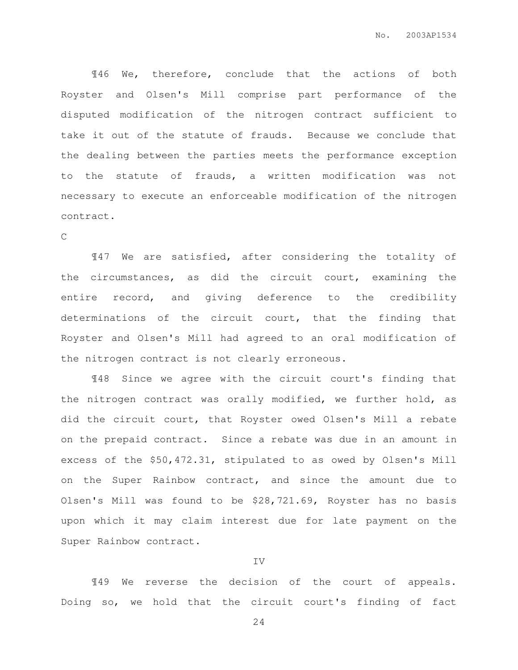¶46 We, therefore, conclude that the actions of both Royster and Olsen's Mill comprise part performance of the disputed modification of the nitrogen contract sufficient to take it out of the statute of frauds. Because we conclude that the dealing between the parties meets the performance exception to the statute of frauds, a written modification was not necessary to execute an enforceable modification of the nitrogen contract.

#### $\mathcal{C}$

¶47 We are satisfied, after considering the totality of the circumstances, as did the circuit court, examining the entire record, and giving deference to the credibility determinations of the circuit court, that the finding that Royster and Olsen's Mill had agreed to an oral modification of the nitrogen contract is not clearly erroneous.

¶48 Since we agree with the circuit court's finding that the nitrogen contract was orally modified, we further hold, as did the circuit court, that Royster owed Olsen's Mill a rebate on the prepaid contract. Since a rebate was due in an amount in excess of the \$50,472.31, stipulated to as owed by Olsen's Mill on the Super Rainbow contract, and since the amount due to Olsen's Mill was found to be \$28,721.69, Royster has no basis upon which it may claim interest due for late payment on the Super Rainbow contract.

#### IV

¶49 We reverse the decision of the court of appeals. Doing so, we hold that the circuit court's finding of fact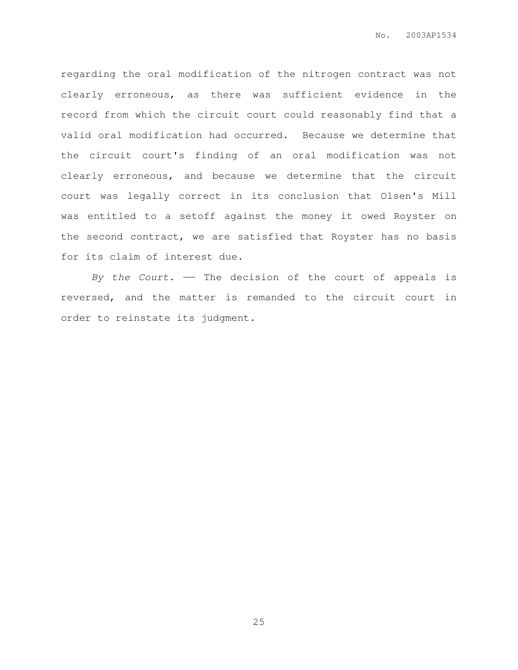regarding the oral modification of the nitrogen contract was not clearly erroneous, as there was sufficient evidence in the record from which the circuit court could reasonably find that a valid oral modification had occurred. Because we determine that the circuit court's finding of an oral modification was not clearly erroneous, and because we determine that the circuit court was legally correct in its conclusion that Olsen's Mill was entitled to a setoff against the money it owed Royster on the second contract, we are satisfied that Royster has no basis for its claim of interest due.

By the Court.  $-$  The decision of the court of appeals is reversed, and the matter is remanded to the circuit court in order to reinstate its judgment.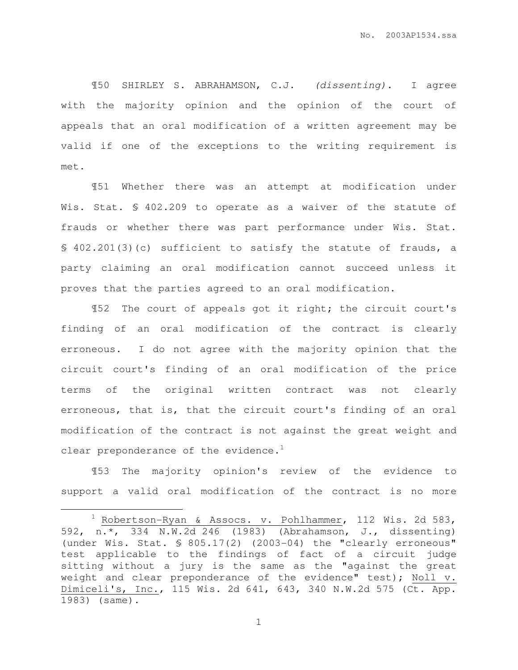¶50 SHIRLEY S. ABRAHAMSON, C.J. (dissenting). I agree with the majority opinion and the opinion of the court of appeals that an oral modification of a written agreement may be valid if one of the exceptions to the writing requirement is met.

¶51 Whether there was an attempt at modification under Wis. Stat. § 402.209 to operate as a waiver of the statute of frauds or whether there was part performance under Wis. Stat. § 402.201(3)(c) sufficient to satisfy the statute of frauds, a party claiming an oral modification cannot succeed unless it proves that the parties agreed to an oral modification.

¶52 The court of appeals got it right; the circuit court's finding of an oral modification of the contract is clearly erroneous. I do not agree with the majority opinion that the circuit court's finding of an oral modification of the price terms of the original written contract was not clearly erroneous, that is, that the circuit court's finding of an oral modification of the contract is not against the great weight and clear preponderance of the evidence.<sup>1</sup>

¶53 The majority opinion's review of the evidence to support a valid oral modification of the contract is no more

 $\overline{a}$ 

 $1$  Robertson-Ryan & Assocs. v. Pohlhammer, 112 Wis. 2d 583, 592, n.\*, 334 N.W.2d 246 (1983) (Abrahamson, J., dissenting) (under Wis. Stat. § 805.17(2) (2003-04) the "clearly erroneous" test applicable to the findings of fact of a circuit judge sitting without a jury is the same as the "against the great weight and clear preponderance of the evidence" test); Noll v. Dimiceli's, Inc., 115 Wis. 2d 641, 643, 340 N.W.2d 575 (Ct. App. 1983) (same).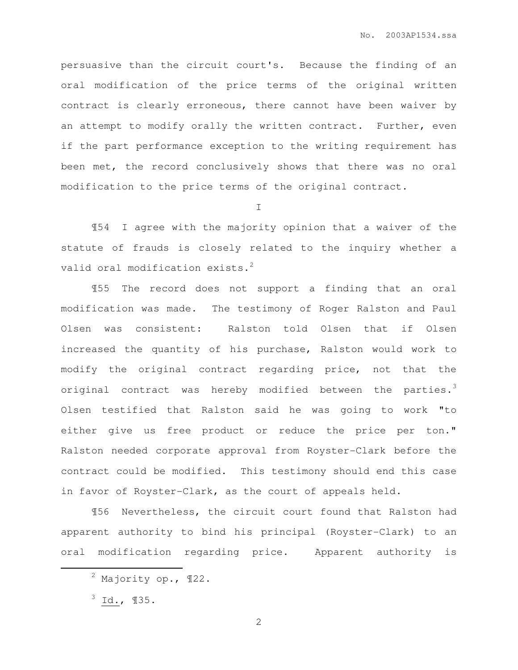persuasive than the circuit court's. Because the finding of an oral modification of the price terms of the original written contract is clearly erroneous, there cannot have been waiver by an attempt to modify orally the written contract. Further, even if the part performance exception to the writing requirement has been met, the record conclusively shows that there was no oral modification to the price terms of the original contract.

 $\top$ 

¶54 I agree with the majority opinion that a waiver of the statute of frauds is closely related to the inquiry whether a valid oral modification exists.<sup>2</sup>

¶55 The record does not support a finding that an oral modification was made. The testimony of Roger Ralston and Paul Olsen was consistent: Ralston told Olsen that if Olsen increased the quantity of his purchase, Ralston would work to modify the original contract regarding price, not that the original contract was hereby modified between the parties.<sup>3</sup> Olsen testified that Ralston said he was going to work "to either give us free product or reduce the price per ton." Ralston needed corporate approval from Royster-Clark before the contract could be modified. This testimony should end this case in favor of Royster-Clark, as the court of appeals held.

¶56 Nevertheless, the circuit court found that Ralston had apparent authority to bind his principal (Royster-Clark) to an oral modification regarding price. Apparent authority is

 $3$  Id.,  $135$ .

 $\overline{a}$ 

<sup>2</sup> Majority op., ¶22.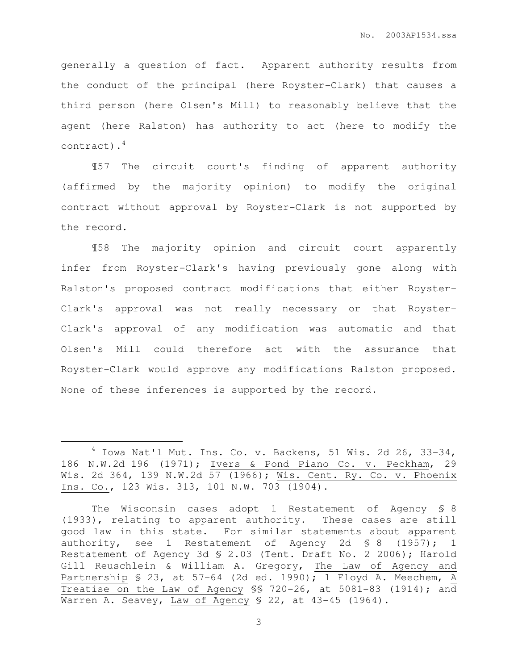generally a question of fact. Apparent authority results from the conduct of the principal (here Royster-Clark) that causes a third person (here Olsen's Mill) to reasonably believe that the agent (here Ralston) has authority to act (here to modify the contract).<sup>4</sup>

¶57 The circuit court's finding of apparent authority (affirmed by the majority opinion) to modify the original contract without approval by Royster-Clark is not supported by the record.

¶58 The majority opinion and circuit court apparently infer from Royster-Clark's having previously gone along with Ralston's proposed contract modifications that either Royster-Clark's approval was not really necessary or that Royster-Clark's approval of any modification was automatic and that Olsen's Mill could therefore act with the assurance that Royster-Clark would approve any modifications Ralston proposed. None of these inferences is supported by the record.

 $\overline{a}$ 

 $4$  Iowa Nat'l Mut. Ins. Co. v. Backens, 51 Wis. 2d 26, 33-34, 186 N.W.2d 196 (1971); Ivers & Pond Piano Co. v. Peckham, 29 Wis. 2d 364, 139 N.W.2d 57 (1966); Wis. Cent. Ry. Co. v. Phoenix Ins. Co., 123 Wis. 313, 101 N.W. 703 (1904).

The Wisconsin cases adopt 1 Restatement of Agency § 8 (1933), relating to apparent authority. These cases are still good law in this state. For similar statements about apparent authority, see 1 Restatement of Agency 2d § 8 (1957); 1 Restatement of Agency 3d § 2.03 (Tent. Draft No. 2 2006); Harold Gill Reuschlein & William A. Gregory, The Law of Agency and Partnership § 23, at 57-64 (2d ed. 1990); 1 Floyd A. Meechem, A Treatise on the Law of Agency §§ 720-26, at 5081-83 (1914); and Warren A. Seavey, Law of Agency \$ 22, at 43-45 (1964).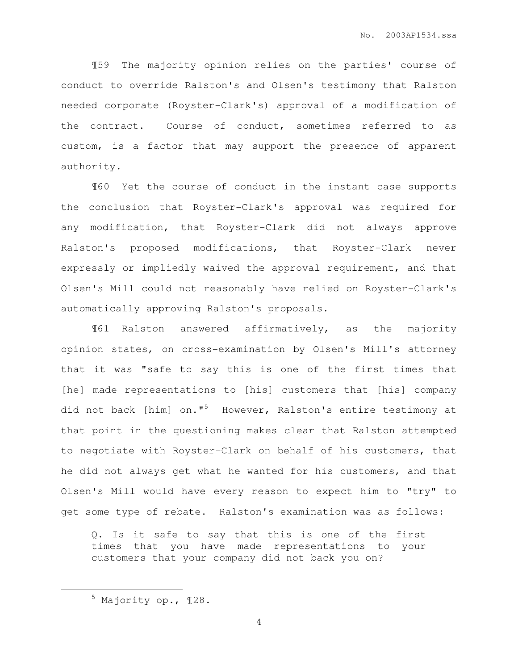¶59 The majority opinion relies on the parties' course of conduct to override Ralston's and Olsen's testimony that Ralston needed corporate (Royster-Clark's) approval of a modification of the contract. Course of conduct, sometimes referred to as custom, is a factor that may support the presence of apparent authority.

¶60 Yet the course of conduct in the instant case supports the conclusion that Royster-Clark's approval was required for any modification, that Royster-Clark did not always approve Ralston's proposed modifications, that Royster-Clark never expressly or impliedly waived the approval requirement, and that Olsen's Mill could not reasonably have relied on Royster-Clark's automatically approving Ralston's proposals.

¶61 Ralston answered affirmatively, as the majority opinion states, on cross-examination by Olsen's Mill's attorney that it was "safe to say this is one of the first times that [he] made representations to [his] customers that [his] company did not back [him] on."<sup>5</sup> However, Ralston's entire testimony at that point in the questioning makes clear that Ralston attempted to negotiate with Royster-Clark on behalf of his customers, that he did not always get what he wanted for his customers, and that Olsen's Mill would have every reason to expect him to "try" to get some type of rebate. Ralston's examination was as follows:

Q. Is it safe to say that this is one of the first times that you have made representations to your customers that your company did not back you on?

 $\overline{a}$ 

<sup>5</sup> Majority op., ¶28.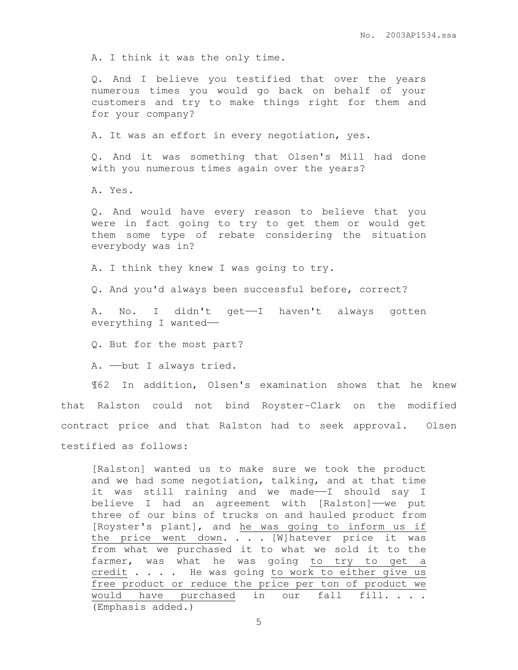A. I think it was the only time.

Q. And I believe you testified that over the years numerous times you would go back on behalf of your customers and try to make things right for them and for your company?

A. It was an effort in every negotiation, yes.

Q. And it was something that Olsen's Mill had done with you numerous times again over the years?

A. Yes.

Q. And would have every reason to believe that you were in fact going to try to get them or would get them some type of rebate considering the situation everybody was in?

A. I think they knew I was going to try.

Q. And you'd always been successful before, correct?

A. No. I didn't get-I haven't always gotten everything I wanted——

Q. But for the most part?

A. ——but I always tried.

¶62 In addition, Olsen's examination shows that he knew that Ralston could not bind Royster-Clark on the modified contract price and that Ralston had to seek approval. Olsen testified as follows:

[Ralston] wanted us to make sure we took the product and we had some negotiation, talking, and at that time it was still raining and we made——I should say I believe I had an agreement with [Ralston]—we put three of our bins of trucks on and hauled product from [Royster's plant], and he was going to inform us if the price went down. . . . [W]hatever price it was from what we purchased it to what we sold it to the farmer, was what he was going to try to get a credit . . . . He was going to work to either give us free product or reduce the price per ton of product we would have purchased in our fall fill. . . . (Emphasis added.)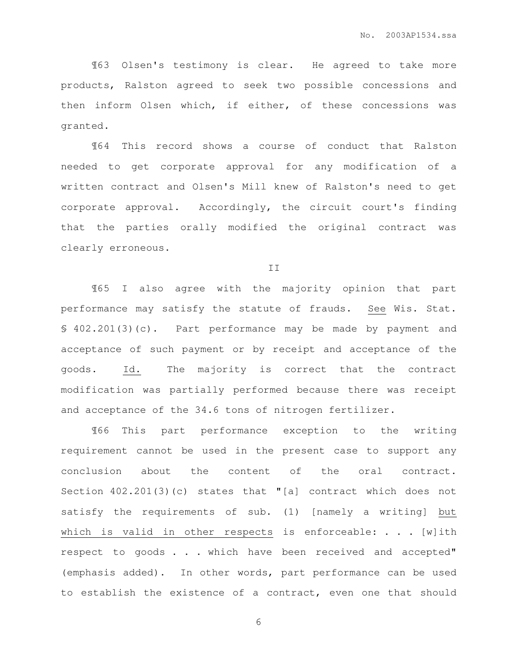¶63 Olsen's testimony is clear. He agreed to take more products, Ralston agreed to seek two possible concessions and then inform Olsen which, if either, of these concessions was granted.

¶64 This record shows a course of conduct that Ralston needed to get corporate approval for any modification of a written contract and Olsen's Mill knew of Ralston's need to get corporate approval. Accordingly, the circuit court's finding that the parties orally modified the original contract was clearly erroneous.

II

¶65 I also agree with the majority opinion that part performance may satisfy the statute of frauds. See Wis. Stat. § 402.201(3)(c). Part performance may be made by payment and acceptance of such payment or by receipt and acceptance of the goods. Id. The majority is correct that the contract modification was partially performed because there was receipt and acceptance of the 34.6 tons of nitrogen fertilizer.

¶66 This part performance exception to the writing requirement cannot be used in the present case to support any conclusion about the content of the oral contract. Section 402.201(3)(c) states that "[a] contract which does not satisfy the requirements of sub. (1) [namely a writing] but which is valid in other respects is enforceable:  $\ldots$  . [w]ith respect to goods . . . which have been received and accepted" (emphasis added). In other words, part performance can be used to establish the existence of a contract, even one that should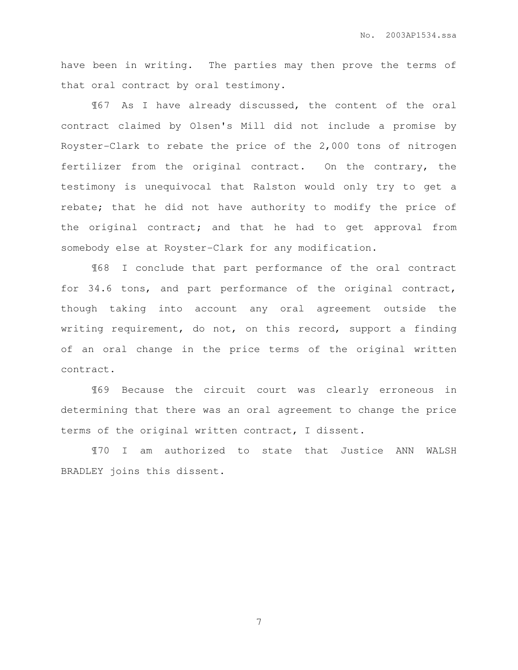have been in writing. The parties may then prove the terms of that oral contract by oral testimony.

¶67 As I have already discussed, the content of the oral contract claimed by Olsen's Mill did not include a promise by Royster-Clark to rebate the price of the 2,000 tons of nitrogen fertilizer from the original contract. On the contrary, the testimony is unequivocal that Ralston would only try to get a rebate; that he did not have authority to modify the price of the original contract; and that he had to get approval from somebody else at Royster-Clark for any modification.

¶68 I conclude that part performance of the oral contract for 34.6 tons, and part performance of the original contract, though taking into account any oral agreement outside the writing requirement, do not, on this record, support a finding of an oral change in the price terms of the original written contract.

¶69 Because the circuit court was clearly erroneous in determining that there was an oral agreement to change the price terms of the original written contract, I dissent.

¶70 I am authorized to state that Justice ANN WALSH BRADLEY joins this dissent.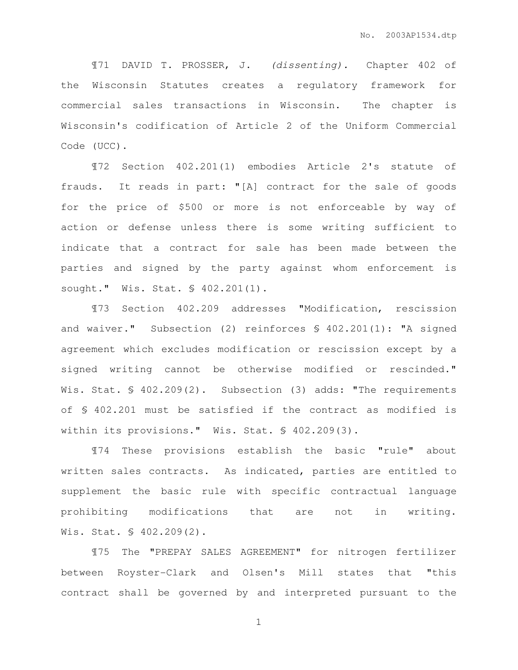¶71 DAVID T. PROSSER, J. (dissenting). Chapter 402 of the Wisconsin Statutes creates a regulatory framework for commercial sales transactions in Wisconsin. The chapter is Wisconsin's codification of Article 2 of the Uniform Commercial Code (UCC).

¶72 Section 402.201(1) embodies Article 2's statute of frauds. It reads in part: "[A] contract for the sale of goods for the price of \$500 or more is not enforceable by way of action or defense unless there is some writing sufficient to indicate that a contract for sale has been made between the parties and signed by the party against whom enforcement is sought." Wis. Stat. § 402.201(1).

¶73 Section 402.209 addresses "Modification, rescission and waiver." Subsection (2) reinforces § 402.201(1): "A signed agreement which excludes modification or rescission except by a signed writing cannot be otherwise modified or rescinded." Wis. Stat. § 402.209(2). Subsection (3) adds: "The requirements of § 402.201 must be satisfied if the contract as modified is within its provisions." Wis. Stat. § 402.209(3).

¶74 These provisions establish the basic "rule" about written sales contracts. As indicated, parties are entitled to supplement the basic rule with specific contractual language prohibiting modifications that are not in writing. Wis. Stat. § 402.209(2).

¶75 The "PREPAY SALES AGREEMENT" for nitrogen fertilizer between Royster-Clark and Olsen's Mill states that "this contract shall be governed by and interpreted pursuant to the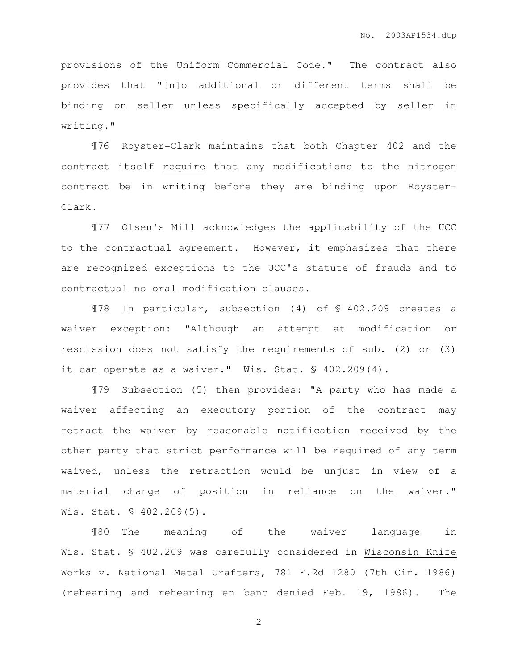provisions of the Uniform Commercial Code." The contract also provides that "[n]o additional or different terms shall be binding on seller unless specifically accepted by seller in writing."

¶76 Royster-Clark maintains that both Chapter 402 and the contract itself require that any modifications to the nitrogen contract be in writing before they are binding upon Royster-Clark.

¶77 Olsen's Mill acknowledges the applicability of the UCC to the contractual agreement. However, it emphasizes that there are recognized exceptions to the UCC's statute of frauds and to contractual no oral modification clauses.

¶78 In particular, subsection (4) of § 402.209 creates a waiver exception: "Although an attempt at modification or rescission does not satisfy the requirements of sub. (2) or (3) it can operate as a waiver." Wis. Stat. § 402.209(4).

¶79 Subsection (5) then provides: "A party who has made a waiver affecting an executory portion of the contract may retract the waiver by reasonable notification received by the other party that strict performance will be required of any term waived, unless the retraction would be unjust in view of a material change of position in reliance on the waiver." Wis. Stat. § 402.209(5).

¶80 The meaning of the waiver language in Wis. Stat. § 402.209 was carefully considered in Wisconsin Knife Works v. National Metal Crafters, 781 F.2d 1280 (7th Cir. 1986) (rehearing and rehearing en banc denied Feb. 19, 1986). The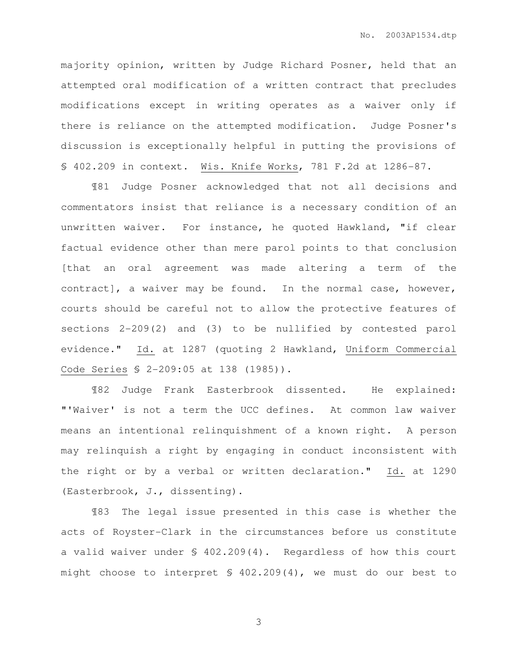majority opinion, written by Judge Richard Posner, held that an attempted oral modification of a written contract that precludes modifications except in writing operates as a waiver only if there is reliance on the attempted modification. Judge Posner's discussion is exceptionally helpful in putting the provisions of § 402.209 in context. Wis. Knife Works, 781 F.2d at 1286-87.

¶81 Judge Posner acknowledged that not all decisions and commentators insist that reliance is a necessary condition of an unwritten waiver. For instance, he quoted Hawkland, "if clear factual evidence other than mere parol points to that conclusion [that an oral agreement was made altering a term of the contract], a waiver may be found. In the normal case, however, courts should be careful not to allow the protective features of sections 2-209(2) and (3) to be nullified by contested parol evidence." Id. at 1287 (quoting 2 Hawkland, Uniform Commercial Code Series § 2-209:05 at 138 (1985)).

¶82 Judge Frank Easterbrook dissented. He explained: "'Waiver' is not a term the UCC defines. At common law waiver means an intentional relinquishment of a known right. A person may relinquish a right by engaging in conduct inconsistent with the right or by a verbal or written declaration." Id. at 1290 (Easterbrook, J., dissenting).

¶83 The legal issue presented in this case is whether the acts of Royster-Clark in the circumstances before us constitute a valid waiver under § 402.209(4). Regardless of how this court might choose to interpret § 402.209(4), we must do our best to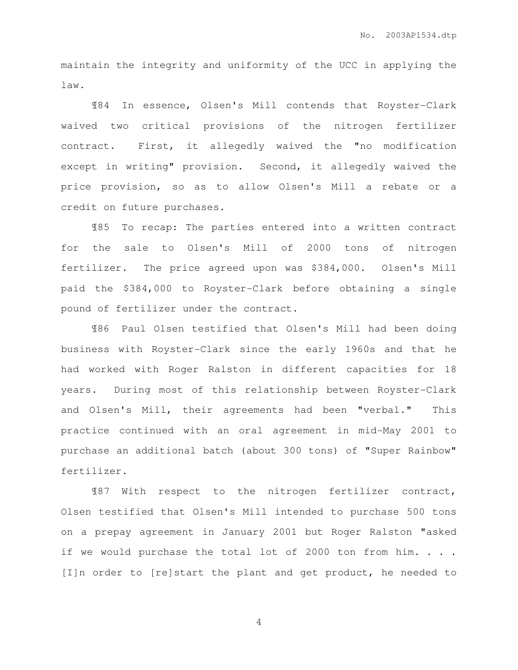maintain the integrity and uniformity of the UCC in applying the law.

¶84 In essence, Olsen's Mill contends that Royster-Clark waived two critical provisions of the nitrogen fertilizer contract. First, it allegedly waived the "no modification except in writing" provision. Second, it allegedly waived the price provision, so as to allow Olsen's Mill a rebate or a credit on future purchases.

¶85 To recap: The parties entered into a written contract for the sale to Olsen's Mill of 2000 tons of nitrogen fertilizer. The price agreed upon was \$384,000. Olsen's Mill paid the \$384,000 to Royster-Clark before obtaining a single pound of fertilizer under the contract.

¶86 Paul Olsen testified that Olsen's Mill had been doing business with Royster-Clark since the early 1960s and that he had worked with Roger Ralston in different capacities for 18 years. During most of this relationship between Royster-Clark and Olsen's Mill, their agreements had been "verbal." This practice continued with an oral agreement in mid-May 2001 to purchase an additional batch (about 300 tons) of "Super Rainbow" fertilizer.

¶87 With respect to the nitrogen fertilizer contract, Olsen testified that Olsen's Mill intended to purchase 500 tons on a prepay agreement in January 2001 but Roger Ralston "asked if we would purchase the total lot of 2000 ton from him. . . . [I]n order to [re]start the plant and get product, he needed to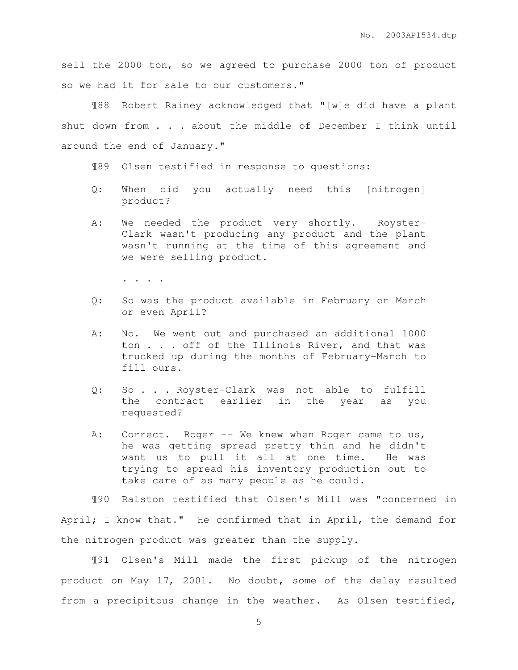sell the 2000 ton, so we agreed to purchase 2000 ton of product so we had it for sale to our customers."

¶88 Robert Rainey acknowledged that "[w]e did have a plant shut down from . . . about the middle of December I think until around the end of January."

¶89 Olsen testified in response to questions:

- Q: When did you actually need this [nitrogen] product?
- A: We needed the product very shortly. Royster-Clark wasn't producing any product and the plant wasn't running at the time of this agreement and we were selling product.

. . . .

- Q: So was the product available in February or March or even April?
- A: No. We went out and purchased an additional 1000 ton . . . off of the Illinois River, and that was trucked up during the months of February-March to fill ours.
- Q: So . . . Royster-Clark was not able to fulfill the contract earlier in the year as you requested?
- A: Correct. Roger -- We knew when Roger came to us, he was getting spread pretty thin and he didn't want us to pull it all at one time. He was trying to spread his inventory production out to take care of as many people as he could.

¶90 Ralston testified that Olsen's Mill was "concerned in April; I know that." He confirmed that in April, the demand for the nitrogen product was greater than the supply.

¶91 Olsen's Mill made the first pickup of the nitrogen product on May 17, 2001. No doubt, some of the delay resulted from a precipitous change in the weather. As Olsen testified,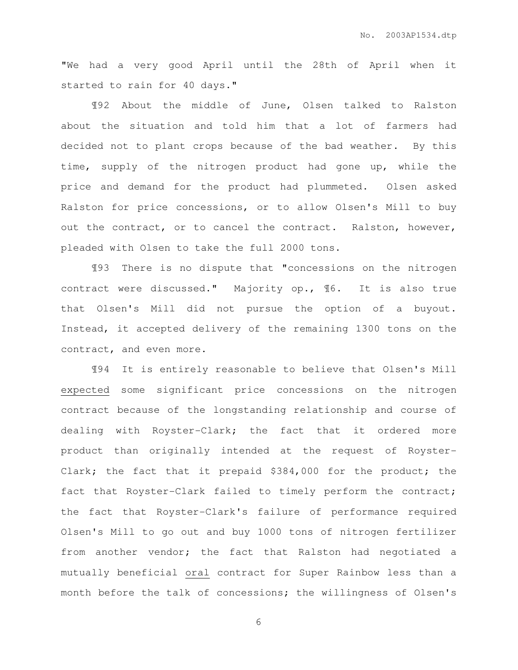"We had a very good April until the 28th of April when it started to rain for 40 days."

¶92 About the middle of June, Olsen talked to Ralston about the situation and told him that a lot of farmers had decided not to plant crops because of the bad weather. By this time, supply of the nitrogen product had gone up, while the price and demand for the product had plummeted. Olsen asked Ralston for price concessions, or to allow Olsen's Mill to buy out the contract, or to cancel the contract. Ralston, however, pleaded with Olsen to take the full 2000 tons.

¶93 There is no dispute that "concessions on the nitrogen contract were discussed." Majority op., ¶6. It is also true that Olsen's Mill did not pursue the option of a buyout. Instead, it accepted delivery of the remaining 1300 tons on the contract, and even more.

¶94 It is entirely reasonable to believe that Olsen's Mill expected some significant price concessions on the nitrogen contract because of the longstanding relationship and course of dealing with Royster-Clark; the fact that it ordered more product than originally intended at the request of Royster-Clark; the fact that it prepaid \$384,000 for the product; the fact that Royster-Clark failed to timely perform the contract; the fact that Royster-Clark's failure of performance required Olsen's Mill to go out and buy 1000 tons of nitrogen fertilizer from another vendor; the fact that Ralston had negotiated a mutually beneficial oral contract for Super Rainbow less than a month before the talk of concessions; the willingness of Olsen's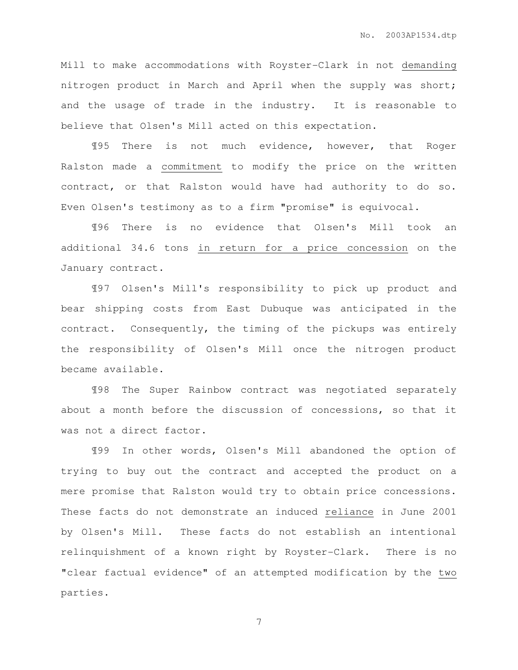Mill to make accommodations with Royster-Clark in not demanding nitrogen product in March and April when the supply was short; and the usage of trade in the industry. It is reasonable to believe that Olsen's Mill acted on this expectation.

¶95 There is not much evidence, however, that Roger Ralston made a commitment to modify the price on the written contract, or that Ralston would have had authority to do so. Even Olsen's testimony as to a firm "promise" is equivocal.

¶96 There is no evidence that Olsen's Mill took an additional 34.6 tons in return for a price concession on the January contract.

¶97 Olsen's Mill's responsibility to pick up product and bear shipping costs from East Dubuque was anticipated in the contract. Consequently, the timing of the pickups was entirely the responsibility of Olsen's Mill once the nitrogen product became available.

¶98 The Super Rainbow contract was negotiated separately about a month before the discussion of concessions, so that it was not a direct factor.

¶99 In other words, Olsen's Mill abandoned the option of trying to buy out the contract and accepted the product on a mere promise that Ralston would try to obtain price concessions. These facts do not demonstrate an induced reliance in June 2001 by Olsen's Mill. These facts do not establish an intentional relinquishment of a known right by Royster-Clark. There is no "clear factual evidence" of an attempted modification by the two parties.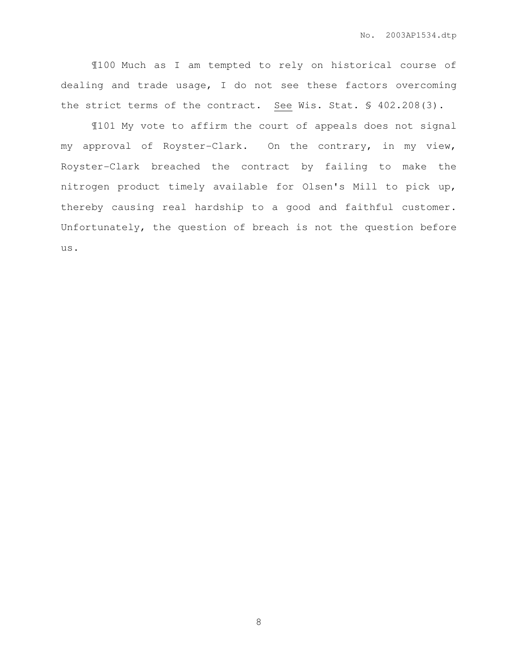¶100 Much as I am tempted to rely on historical course of dealing and trade usage, I do not see these factors overcoming the strict terms of the contract. See Wis. Stat. § 402.208(3).

¶101 My vote to affirm the court of appeals does not signal my approval of Royster-Clark. On the contrary, in my view, Royster-Clark breached the contract by failing to make the nitrogen product timely available for Olsen's Mill to pick up, thereby causing real hardship to a good and faithful customer. Unfortunately, the question of breach is not the question before us.